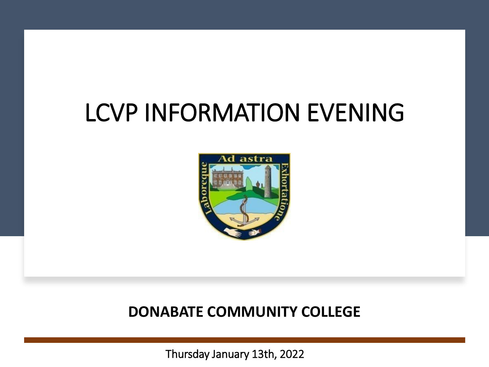### LCVP INFORMATION EVENING



#### **DONABATE COMMUNITY COLLEGE**

Thursday January 13th, 2022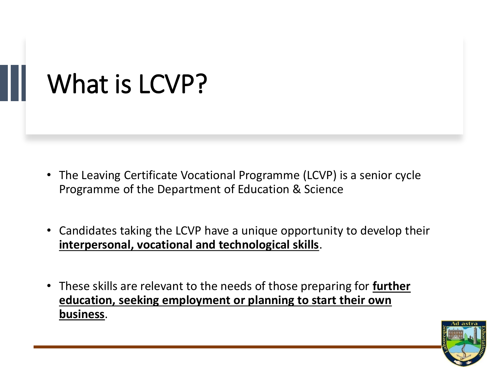## What is LCVP?

- The Leaving Certificate Vocational Programme (LCVP) is a senior cycle Programme of the Department of Education & Science
- Candidates taking the LCVP have a unique opportunity to develop their **interpersonal, vocational and technological skills**.
- These skills are relevant to the needs of those preparing for **further education, seeking employment or planning to start their own business**.

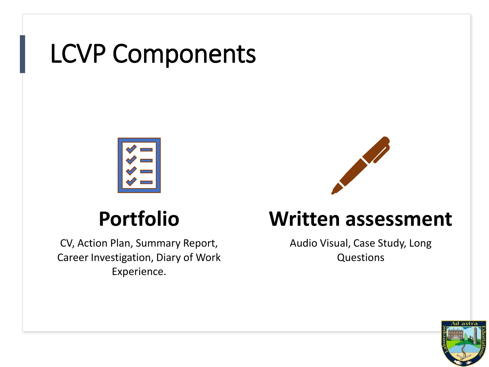## LCVP Components



### **Portfolio**

CV, Action Plan, Summary Report, Career Investigation, Diary of Work Experience.



#### **Written assessment**

Audio Visual, Case Study, Long Questions

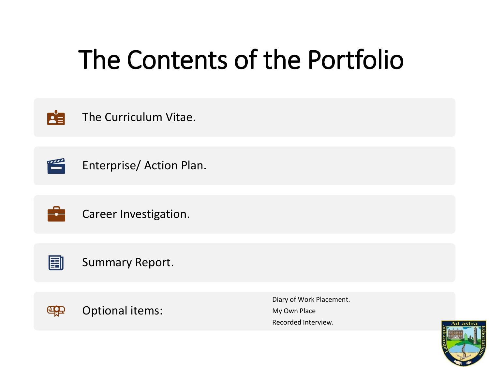# The Contents of the Portfolio



The Curriculum Vitae.



Enterprise/ Action Plan.



Career Investigation.



#### Summary Report.



Diary of Work Placement. My Own Place Recorded Interview.

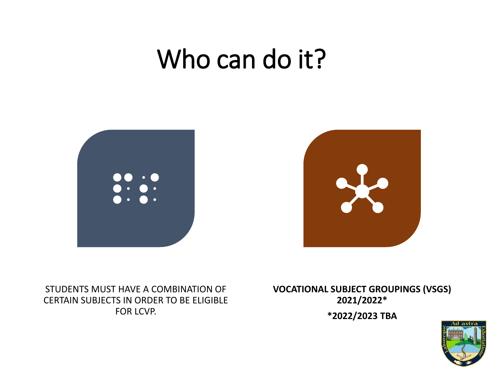## Who can do it?



STUDENTS MUST HAVE A COMBINATION OF CERTAIN SUBJECTS IN ORDER TO BE ELIGIBLE FOR LCVP.

**VOCATIONAL SUBJECT GROUPINGS (VSGS) 2021/2022\***

**\*2022/2023 TBA**

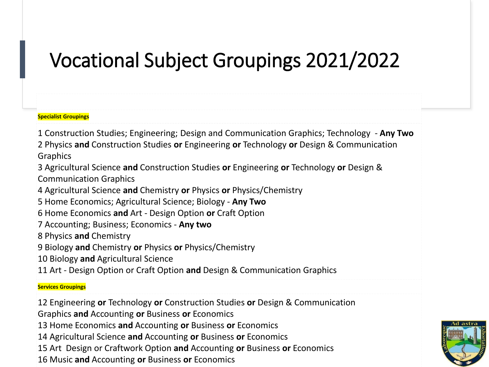### Vocational Subject Groupings 2021/2022

#### **Specialist Groupings**

1 Construction Studies; Engineering; Design and Communication Graphics; Technology - **Any Two**

2 Physics **and** Construction Studies **or** Engineering **or** Technology **or** Design & Communication Graphics

3 Agricultural Science **and** Construction Studies **or** Engineering **or** Technology **or** Design & Communication Graphics

4 Agricultural Science **and** Chemistry **or** Physics **or** Physics/Chemistry

5 Home Economics; Agricultural Science; Biology - **Any Two**

6 Home Economics **and** Art - Design Option **or** Craft Option

7 Accounting; Business; Economics - **Any two**

8 Physics **and** Chemistry

9 Biology **and** Chemistry **or** Physics **or** Physics/Chemistry

10 Biology **and** Agricultural Science

11 Art - Design Option or Craft Option **and** Design & Communication Graphics

#### **Services Groupings**

12 Engineering **or** Technology **or** Construction Studies **or** Design & Communication

Graphics **and** Accounting **or** Business **or** Economics

13 Home Economics **and** Accounting **or** Business **or** Economics

14 Agricultural Science **and** Accounting **or** Business **or** Economics

15 Art Design or Craftwork Option **and** Accounting **or** Business **or** Economics

16 Music **and** Accounting **or** Business **or** Economics

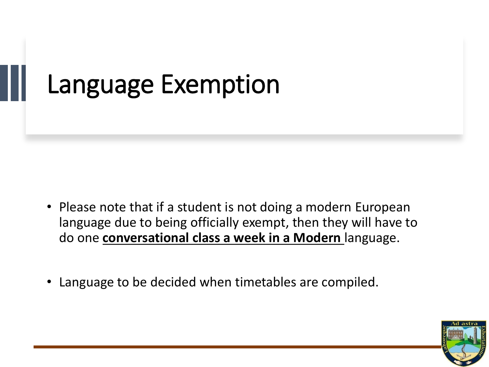## Language Exemption

- Please note that if a student is not doing a modern European language due to being officially exempt, then they will have to do one **conversational class a week in a Modern** language.
- Language to be decided when timetables are compiled.

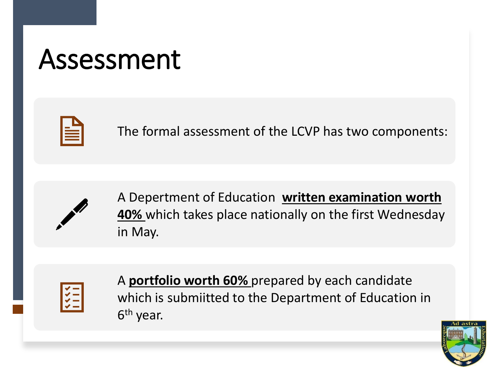# Assessment



The formal assessment of the LCVP has two components:



A Depertment of Education **written examination worth 40%** which takes place nationally on the first Wednesday in May.



A **portfolio worth 60%** prepared by each candidate which is submiitted to the Department of Education in 6<sup>th</sup> year.

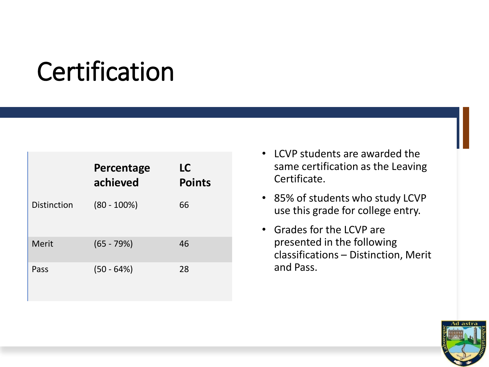# **Certification**

|             | Percentage<br>achieved | LC<br><b>Points</b> |
|-------------|------------------------|---------------------|
| Distinction | $(80 - 100\%)$         | 66                  |
| Merit       | $(65 - 79%)$           | 46                  |
| Pass        | $(50 - 64%)$           | 28                  |

- LCVP students are awarded the same certification as the Leaving Certificate.
- 85% of students who study LCVP use this grade for college entry.
- Grades for the LCVP are presented in the following classifications – Distinction, Merit and Pass.